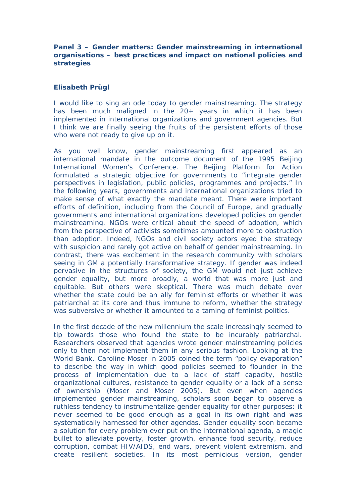**Panel 3 – Gender matters: Gender mainstreaming in international organisations – best practices and impact on national policies and strategies**

## **Elisabeth Prügl**

I would like to sing an ode today to gender mainstreaming. The strategy has been much maligned in the 20+ years in which it has been implemented in international organizations and government agencies. But I think we are finally seeing the fruits of the persistent efforts of those who were not ready to give up on it.

As you well know, gender mainstreaming first appeared as an international mandate in the outcome document of the 1995 Beijing International Women's Conference. The Beijing Platform for Action formulated a strategic objective for governments to "integrate gender perspectives in legislation, public policies, programmes and projects." In the following years, governments and international organizations tried to make sense of what exactly the mandate meant. There were important efforts of definition, including from the Council of Europe, and gradually governments and international organizations developed policies on gender mainstreaming. NGOs were critical about the speed of adoption, which from the perspective of activists sometimes amounted more to obstruction than adoption. Indeed, NGOs and civil society actors eyed the strategy with suspicion and rarely got active on behalf of gender mainstreaming. In contrast, there was excitement in the research community with scholars seeing in GM a potentially transformative strategy. If gender was indeed pervasive in the structures of society, the GM would not just achieve gender equality, but more broadly, a world that was more just and equitable. But others were skeptical. There was much debate over whether the state could be an ally for feminist efforts or whether it was patriarchal at its core and thus immune to reform, whether the strategy was subversive or whether it amounted to a taming of feminist politics.

In the first decade of the new millennium the scale increasingly seemed to tip towards those who found the state to be incurably patriarchal. Researchers observed that agencies wrote gender mainstreaming policies only to then not implement them in any serious fashion. Looking at the World Bank, Caroline Moser in 2005 coined the term "policy evaporation" to describe the way in which good policies seemed to flounder in the process of implementation due to a lack of staff capacity, hostile organizational cultures, resistance to gender equality or a lack of a sense of ownership (Moser and Moser 2005). But even when agencies implemented gender mainstreaming, scholars soon began to observe a ruthless tendency to instrumentalize gender equality for other purposes: it never seemed to be good enough as a goal in its own right and was systematically harnessed for other agendas. Gender equality soon became a solution for every problem ever put on the international agenda, a magic bullet to alleviate poverty, foster growth, enhance food security, reduce corruption, combat HIV/AIDS, end wars, prevent violent extremism, and create resilient societies. In its most pernicious version, gender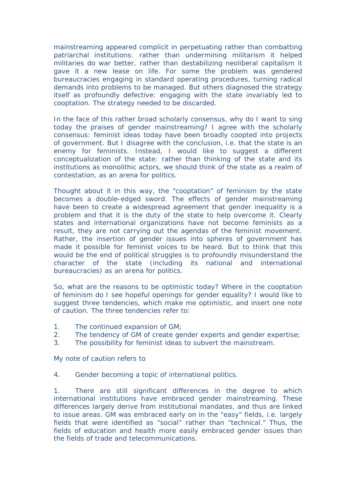mainstreaming appeared complicit in perpetuating rather than combatting patriarchal institutions: rather than undermining militarism it helped militaries do war better, rather than destabilizing neoliberal capitalism it gave it a new lease on life. For some the problem was gendered bureaucracies engaging in standard operating procedures, turning radical demands into problems to be managed. But others diagnosed the strategy itself as profoundly defective: engaging with the state invariably led to cooptation. The strategy needed to be discarded.

In the face of this rather broad scholarly consensus, why do I want to sing today the praises of gender mainstreaming? I agree with the scholarly consensus: feminist ideas today have been broadly coopted into projects of government. But I disagree with the conclusion, i.e. that the state is an enemy for feminists. Instead, I would like to suggest a different conceptualization of the state: rather than thinking of the state and its institutions as monolithic actors, we should think of the state as a realm of contestation, as an arena for politics.

Thought about it in this way, the "cooptation" of feminism by the state becomes a double-edged sword. The effects of gender mainstreaming have been to create a widespread agreement that gender inequality is a problem and that it is the duty of the state to help overcome it. Clearly states and international organizations have not become feminists as a result, they are not carrying out the agendas of the feminist movement. Rather, the insertion of gender issues into spheres of government has made it possible for feminist voices to be heard. But to think that this would be the end of political struggles is to profoundly misunderstand the character of the state (including its national and international bureaucracies) as an arena for politics.

So, what are the reasons to be optimistic today? Where in the cooptation of feminism do I see hopeful openings for gender equality? I would like to suggest three tendencies, which make me optimistic, and insert one note of caution. The three tendencies refer to:

- 1. The continued expansion of GM;
- 2. The tendency of GM of create gender experts and gender expertise;
- 3. The possibility for feminist ideas to subvert the mainstream.

My note of caution refers to

4. Gender becoming a topic of international politics.

1. There are still significant differences in the degree to which international institutions have embraced gender mainstreaming. These differences largely derive from institutional mandates, and thus are linked to issue areas. GM was embraced early on in the "easy" fields, i.e. largely fields that were identified as "social" rather than "technical." Thus, the fields of education and health more easily embraced gender issues than the fields of trade and telecommunications.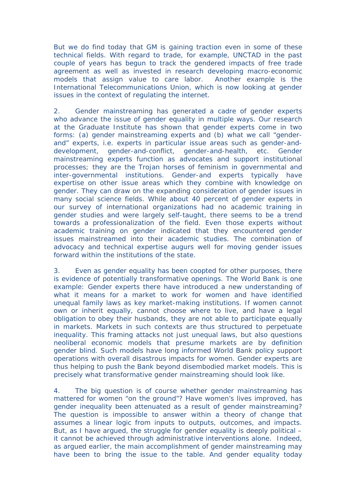But we do find today that GM is gaining traction even in some of these technical fields. With regard to trade, for example, UNCTAD in the past couple of years has begun to track the gendered impacts of free trade agreement as well as invested in research developing macro-economic models that assign value to care labor. Another example is the International Telecommunications Union, which is now looking at gender issues in the context of regulating the internet.

2. Gender mainstreaming has generated a cadre of gender experts who advance the issue of gender equality in multiple ways. Our research at the Graduate Institute has shown that gender experts come in two forms: (a) gender mainstreaming experts and (b) what we call "genderand" experts, i.e. experts in particular issue areas such as gender-anddevelopment, gender-and-conflict, gender-and-health, etc. Gender mainstreaming experts function as advocates and support institutional processes; they are the Trojan horses of feminism in governmental and inter-governmental institutions. Gender-and experts typically have expertise on other issue areas which they combine with knowledge on gender. They can draw on the expanding consideration of gender issues in many social science fields. While about 40 percent of gender experts in our survey of international organizations had no academic training in gender studies and were largely self-taught, there seems to be a trend towards a professionalization of the field. Even those experts without academic training on gender indicated that they encountered gender issues mainstreamed into their academic studies. The combination of advocacy and technical expertise augurs well for moving gender issues forward within the institutions of the state.

3. Even as gender equality has been coopted for other purposes, there is evidence of potentially transformative openings. The World Bank is one example: Gender experts there have introduced a new understanding of what it means for a market to work for women and have identified unequal family laws as key market-making institutions. If women cannot own or inherit equally, cannot choose where to live, and have a legal obligation to obey their husbands, they are not able to participate equally in markets. Markets in such contexts are thus structured to perpetuate inequality. This framing attacks not just unequal laws, but also questions neoliberal economic models that presume markets are by definition gender blind. Such models have long informed World Bank policy support operations with overall disastrous impacts for women. Gender experts are thus helping to push the Bank beyond disembodied market models. This is precisely what transformative gender mainstreaming should look like.

4. The big question is of course whether gender mainstreaming has mattered for women "on the ground"? Have women's lives improved, has gender inequality been attenuated as a result of gender mainstreaming? The question is impossible to answer within a theory of change that assumes a linear logic from inputs to outputs, outcomes, and impacts. But, as I have argued, the struggle for gender equality is deeply political – it cannot be achieved through administrative interventions alone. Indeed, as argued earlier, the main accomplishment of gender mainstreaming may have been to bring the issue to the table. And gender equality today